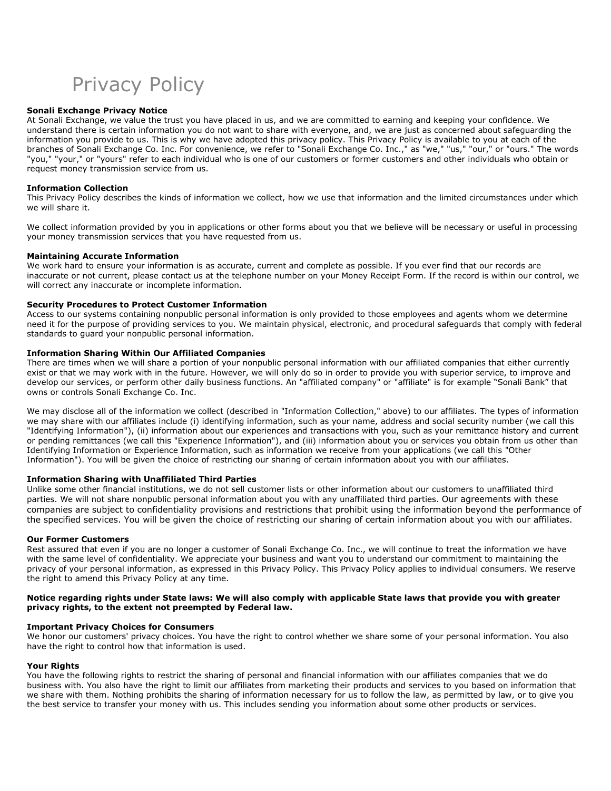Privacy Policy

## Sonali Exchange Privacy Notice

At Sonali Exchange, we value the trust you have placed in us, and we are committed to earning and keeping your confidence. We understand there is certain information you do not want to share with everyone, and, we are just as concerned about safeguarding the information you provide to us. This is why we have adopted this privacy policy. This Privacy Policy is available to you at each of the branches of Sonali Exchange Co. Inc. For convenience, we refer to "Sonali Exchange Co. Inc.," as "we," "us," "our," or "ours." The words "you," "your," or "yours" refer to each individual who is one of our customers or former customers and other individuals who obtain or request money transmission service from us.

## Information Collection

This Privacy Policy describes the kinds of information we collect, how we use that information and the limited circumstances under which we will share it.

We collect information provided by you in applications or other forms about you that we believe will be necessary or useful in processing your money transmission services that you have requested from us.

## Maintaining Accurate Information

We work hard to ensure your information is as accurate, current and complete as possible. If you ever find that our records are inaccurate or not current, please contact us at the telephone number on your Money Receipt Form. If the record is within our control, we will correct any inaccurate or incomplete information.

## Security Procedures to Protect Customer Information

Access to our systems containing nonpublic personal information is only provided to those employees and agents whom we determine need it for the purpose of providing services to you. We maintain physical, electronic, and procedural safeguards that comply with federal standards to guard your nonpublic personal information.

## Information Sharing Within Our Affiliated Companies

There are times when we will share a portion of your nonpublic personal information with our affiliated companies that either currently exist or that we may work with in the future. However, we will only do so in order to provide you with superior service, to improve and develop our services, or perform other daily business functions. An "affiliated company" or "affiliate" is for example "Sonali Bank" that owns or controls Sonali Exchange Co. Inc.

We may disclose all of the information we collect (described in "Information Collection," above) to our affiliates. The types of information we may share with our affiliates include (i) identifying information, such as your name, address and social security number (we call this "Identifying Information"), (ii) information about our experiences and transactions with you, such as your remittance history and current or pending remittances (we call this "Experience Information"), and (iii) information about you or services you obtain from us other than Identifying Information or Experience Information, such as information we receive from your applications (we call this "Other Information"). You will be given the choice of restricting our sharing of certain information about you with our affiliates.

## Information Sharing with Unaffiliated Third Parties

Unlike some other financial institutions, we do not sell customer lists or other information about our customers to unaffiliated third parties. We will not share nonpublic personal information about you with any unaffiliated third parties. Our agreements with these companies are subject to confidentiality provisions and restrictions that prohibit using the information beyond the performance of the specified services. You will be given the choice of restricting our sharing of certain information about you with our affiliates.

#### Our Former Customers

Rest assured that even if you are no longer a customer of Sonali Exchange Co. Inc., we will continue to treat the information we have with the same level of confidentiality. We appreciate your business and want you to understand our commitment to maintaining the privacy of your personal information, as expressed in this Privacy Policy. This Privacy Policy applies to individual consumers. We reserve the right to amend this Privacy Policy at any time.

## Notice regarding rights under State laws: We will also comply with applicable State laws that provide you with greater privacy rights, to the extent not preempted by Federal law.

## Important Privacy Choices for Consumers

We honor our customers' privacy choices. You have the right to control whether we share some of your personal information. You also have the right to control how that information is used.

#### Your Rights

You have the following rights to restrict the sharing of personal and financial information with our affiliates companies that we do business with. You also have the right to limit our affiliates from marketing their products and services to you based on information that we share with them. Nothing prohibits the sharing of information necessary for us to follow the law, as permitted by law, or to give you the best service to transfer your money with us. This includes sending you information about some other products or services.